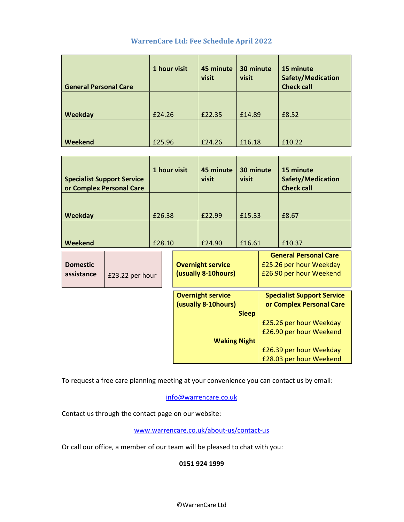# WarrenCare Ltd: Fee Schedule April 2022

| <b>General Personal Care</b> | 1 hour visit | 45 minute<br>visit | 30 minute<br>visit | 15 minute<br>Safety/Medication<br><b>Check call</b> |
|------------------------------|--------------|--------------------|--------------------|-----------------------------------------------------|
| Weekday                      | £24.26       | £22.35             | £14.89             | £8.52                                               |
| Weekend                      | £25.96       | £24.26             | £16.18             | £10.22                                              |

| <b>Specialist Support Service</b><br>or Complex Personal Care |                 | 1 hour visit |                                                  | 45 minute<br>visit                                                      | 30 minute<br>visit |                                                                                    | 15 minute<br>Safety/Medication<br><b>Check call</b>                                                                                                                       |
|---------------------------------------------------------------|-----------------|--------------|--------------------------------------------------|-------------------------------------------------------------------------|--------------------|------------------------------------------------------------------------------------|---------------------------------------------------------------------------------------------------------------------------------------------------------------------------|
| Weekday                                                       |                 | £26.38       |                                                  | £22.99                                                                  | £15.33             |                                                                                    | £8.67                                                                                                                                                                     |
| Weekend                                                       |                 | £28.10       |                                                  | £24.90                                                                  | £16.61             |                                                                                    | £10.37                                                                                                                                                                    |
| <b>Domestic</b><br>assistance                                 | £23.22 per hour |              | <b>Overnight service</b><br>(usually 8-10 hours) |                                                                         |                    | <b>General Personal Care</b><br>£25.26 per hour Weekday<br>£26.90 per hour Weekend |                                                                                                                                                                           |
|                                                               |                 |              |                                                  | <b>Overnight service</b><br>(usually 8-10 hours)<br><b>Waking Night</b> | <b>Sleep</b>       |                                                                                    | <b>Specialist Support Service</b><br>or Complex Personal Care<br>£25.26 per hour Weekday<br>£26.90 per hour Weekend<br>£26.39 per hour Weekday<br>£28.03 per hour Weekend |

To request a free care planning meeting at your convenience you can contact us by email:

info@warrencare.co.uk

Contact us through the contact page on our website:

www.warrencare.co.uk/about-us/contact-us

Or call our office, a member of our team will be pleased to chat with you:

# 0151 924 1999